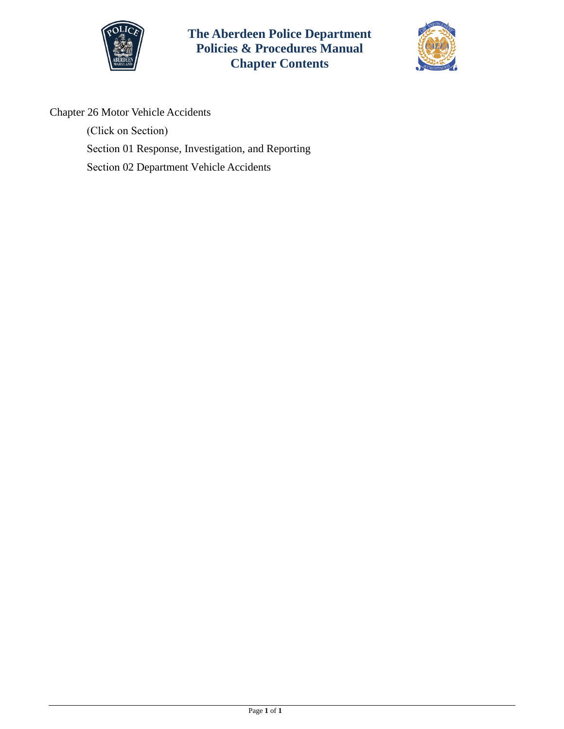

**The Aberdeen Police Department Policies & Procedures Manual Chapter Contents**



Chapter 26 Motor Vehicle Accidents

(Click on Section) Section [01 Response, Investigation, and Reporting](#page-1-0)  Section 02 Department [Vehicle Accidents](#page-6-0)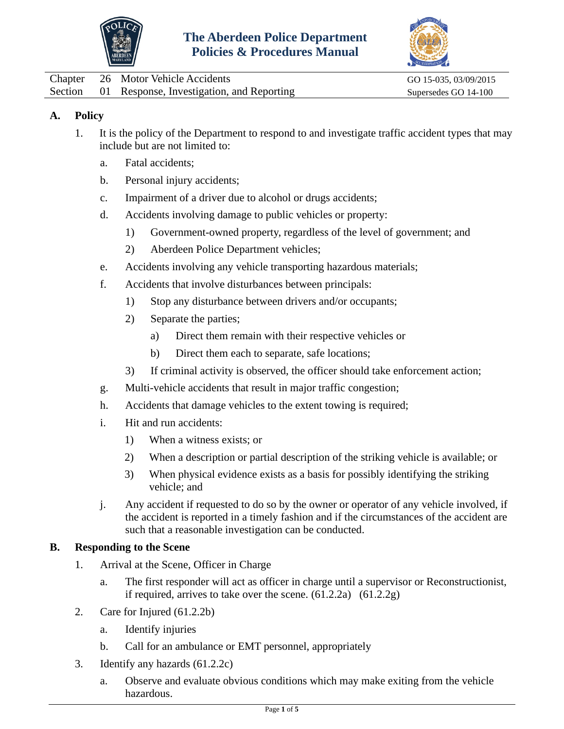



<span id="page-1-0"></span>

|  | Chapter 26 Motor Vehicle Accidents                | GO 15-035, 03/09/2015 |
|--|---------------------------------------------------|-----------------------|
|  | Section 01 Response, Investigation, and Reporting | Supersedes GO 14-100  |

## **A. Policy**

- 1. It is the policy of the Department to respond to and investigate traffic accident types that may include but are not limited to:
	- a. Fatal accidents;
	- b. Personal injury accidents;
	- c. Impairment of a driver due to alcohol or drugs accidents;
	- d. Accidents involving damage to public vehicles or property:
		- 1) Government-owned property, regardless of the level of government; and
		- 2) Aberdeen Police Department vehicles;
	- e. Accidents involving any vehicle transporting hazardous materials;
	- f. Accidents that involve disturbances between principals:
		- 1) Stop any disturbance between drivers and/or occupants;
		- 2) Separate the parties;
			- a) Direct them remain with their respective vehicles or
			- b) Direct them each to separate, safe locations;
		- 3) If criminal activity is observed, the officer should take enforcement action;
	- g. Multi-vehicle accidents that result in major traffic congestion;
	- h. Accidents that damage vehicles to the extent towing is required;
	- i. Hit and run accidents:
		- 1) When a witness exists; or
		- 2) When a description or partial description of the striking vehicle is available; or
		- 3) When physical evidence exists as a basis for possibly identifying the striking vehicle; and
	- j. Any accident if requested to do so by the owner or operator of any vehicle involved, if the accident is reported in a timely fashion and if the circumstances of the accident are such that a reasonable investigation can be conducted.

#### **B. Responding to the Scene**

- 1. Arrival at the Scene, Officer in Charge
	- a. The first responder will act as officer in charge until a supervisor or Reconstructionist, if required, arrives to take over the scene.  $(61.2.2a)$   $(61.2.2g)$
- 2. Care for Injured (61.2.2b)
	- a. Identify injuries
	- b. Call for an ambulance or EMT personnel, appropriately
- 3. Identify any hazards (61.2.2c)
	- a. Observe and evaluate obvious conditions which may make exiting from the vehicle hazardous.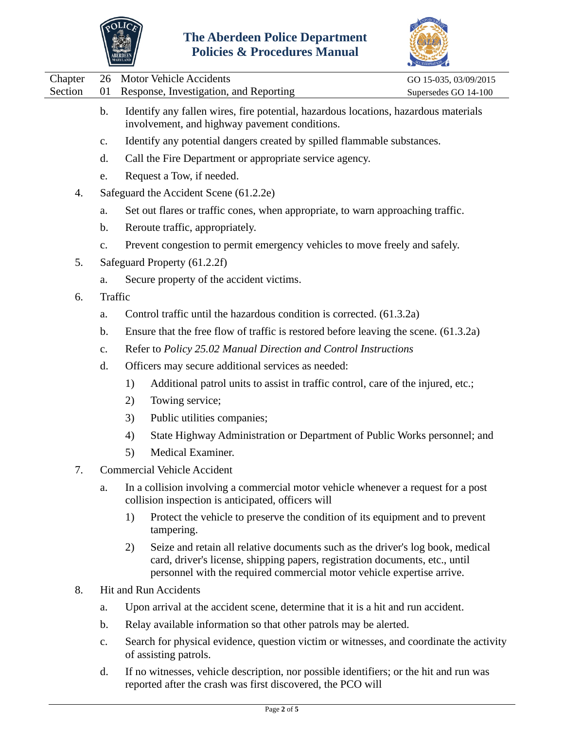



 $\overline{\phantom{0}}$ 

|                                          |               | <b>MARYLAND</b>                                                                                                                                                                                                                                |                       |  |  |
|------------------------------------------|---------------|------------------------------------------------------------------------------------------------------------------------------------------------------------------------------------------------------------------------------------------------|-----------------------|--|--|
| Chapter                                  | 26            | <b>Motor Vehicle Accidents</b>                                                                                                                                                                                                                 | GO 15-035, 03/09/2015 |  |  |
| Section                                  | 01            | Response, Investigation, and Reporting                                                                                                                                                                                                         | Supersedes GO 14-100  |  |  |
|                                          | $\mathbf b$ . | Identify any fallen wires, fire potential, hazardous locations, hazardous materials<br>involvement, and highway pavement conditions.                                                                                                           |                       |  |  |
|                                          | $C_{\bullet}$ | Identify any potential dangers created by spilled flammable substances.                                                                                                                                                                        |                       |  |  |
|                                          | d.            | Call the Fire Department or appropriate service agency.                                                                                                                                                                                        |                       |  |  |
|                                          | e.            | Request a Tow, if needed.                                                                                                                                                                                                                      |                       |  |  |
| 4.                                       |               | Safeguard the Accident Scene (61.2.2e)                                                                                                                                                                                                         |                       |  |  |
|                                          | a.            | Set out flares or traffic cones, when appropriate, to warn approaching traffic.                                                                                                                                                                |                       |  |  |
|                                          | b.            | Reroute traffic, appropriately.                                                                                                                                                                                                                |                       |  |  |
|                                          | c.            | Prevent congestion to permit emergency vehicles to move freely and safely.                                                                                                                                                                     |                       |  |  |
| 5.                                       |               | Safeguard Property (61.2.2f)                                                                                                                                                                                                                   |                       |  |  |
|                                          | a.            | Secure property of the accident victims.                                                                                                                                                                                                       |                       |  |  |
| 6.                                       |               | Traffic                                                                                                                                                                                                                                        |                       |  |  |
|                                          | a.            | Control traffic until the hazardous condition is corrected. (61.3.2a)                                                                                                                                                                          |                       |  |  |
|                                          | $\mathbf b$ . | Ensure that the free flow of traffic is restored before leaving the scene. (61.3.2a)                                                                                                                                                           |                       |  |  |
|                                          | c.            | Refer to Policy 25.02 Manual Direction and Control Instructions                                                                                                                                                                                |                       |  |  |
|                                          | d.            | Officers may secure additional services as needed:                                                                                                                                                                                             |                       |  |  |
|                                          |               | Additional patrol units to assist in traffic control, care of the injured, etc.;<br>1)                                                                                                                                                         |                       |  |  |
|                                          |               | 2)<br>Towing service;                                                                                                                                                                                                                          |                       |  |  |
|                                          |               | Public utilities companies;<br>3)                                                                                                                                                                                                              |                       |  |  |
|                                          |               | State Highway Administration or Department of Public Works personnel; and<br>4)                                                                                                                                                                |                       |  |  |
|                                          |               | Medical Examiner.<br>5)                                                                                                                                                                                                                        |                       |  |  |
| <b>Commercial Vehicle Accident</b><br>7. |               |                                                                                                                                                                                                                                                |                       |  |  |
|                                          | a.            | In a collision involving a commercial motor vehicle whenever a request for a post<br>collision inspection is anticipated, officers will                                                                                                        |                       |  |  |
|                                          |               | 1)<br>Protect the vehicle to preserve the condition of its equipment and to prevent<br>tampering.                                                                                                                                              |                       |  |  |
|                                          |               | 2)<br>Seize and retain all relative documents such as the driver's log book, medical<br>card, driver's license, shipping papers, registration documents, etc., until<br>personnel with the required commercial motor vehicle expertise arrive. |                       |  |  |
| 8.                                       |               | <b>Hit and Run Accidents</b>                                                                                                                                                                                                                   |                       |  |  |
|                                          | a.            | Upon arrival at the accident scene, determine that it is a hit and run accident.                                                                                                                                                               |                       |  |  |
|                                          | b.            | Relay available information so that other patrols may be alerted.                                                                                                                                                                              |                       |  |  |

- c. Search for physical evidence, question victim or witnesses, and coordinate the activity of assisting patrols.
- d. If no witnesses, vehicle description, nor possible identifiers; or the hit and run was reported after the crash was first discovered, the PCO will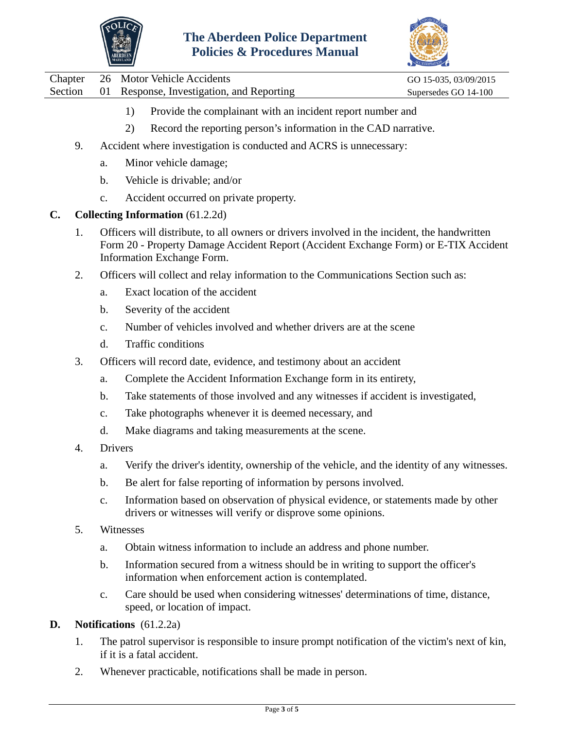



- 1) Provide the complainant with an incident report number and
- 2) Record the reporting person's information in the CAD narrative.
- 9. Accident where investigation is conducted and ACRS is unnecessary:
	- a. Minor vehicle damage;
	- b. Vehicle is drivable; and/or
	- c. Accident occurred on private property.
- **C. Collecting Information** (61.2.2d)
	- 1. Officers will distribute, to all owners or drivers involved in the incident, the handwritten Form 20 - Property Damage Accident Report (Accident Exchange Form) or E-TIX Accident Information Exchange Form.
	- 2. Officers will collect and relay information to the Communications Section such as:
		- a. Exact location of the accident
		- b. Severity of the accident
		- c. Number of vehicles involved and whether drivers are at the scene
		- d. Traffic conditions
	- 3. Officers will record date, evidence, and testimony about an accident
		- a. Complete the Accident Information Exchange form in its entirety,
		- b. Take statements of those involved and any witnesses if accident is investigated,
		- c. Take photographs whenever it is deemed necessary, and
		- d. Make diagrams and taking measurements at the scene.
	- 4. Drivers
		- a. Verify the driver's identity, ownership of the vehicle, and the identity of any witnesses.
		- b. Be alert for false reporting of information by persons involved.
		- c. Information based on observation of physical evidence, or statements made by other drivers or witnesses will verify or disprove some opinions.
	- 5. Witnesses
		- a. Obtain witness information to include an address and phone number.
		- b. Information secured from a witness should be in writing to support the officer's information when enforcement action is contemplated.
		- c. Care should be used when considering witnesses' determinations of time, distance, speed, or location of impact.

#### **D. Notifications** (61.2.2a)

- 1. The patrol supervisor is responsible to insure prompt notification of the victim's next of kin, if it is a fatal accident.
- 2. Whenever practicable, notifications shall be made in person.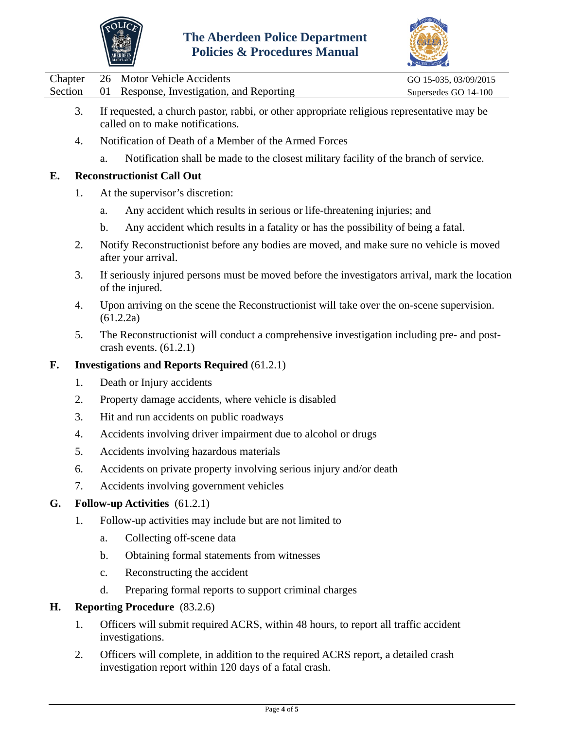



|  | Chapter 26 Motor Vehicle Accidents                | GO 15-035, 03/09/2015 |
|--|---------------------------------------------------|-----------------------|
|  | Section 01 Response, Investigation, and Reporting | Supersedes GO 14-100  |

- 3. If requested, a church pastor, rabbi, or other appropriate religious representative may be called on to make notifications.
- 4. Notification of Death of a Member of the Armed Forces
	- a. Notification shall be made to the closest military facility of the branch of service.

### **E. Reconstructionist Call Out**

- 1. At the supervisor's discretion:
	- a. Any accident which results in serious or life-threatening injuries; and
	- b. Any accident which results in a fatality or has the possibility of being a fatal.
- 2. Notify Reconstructionist before any bodies are moved, and make sure no vehicle is moved after your arrival.
- 3. If seriously injured persons must be moved before the investigators arrival, mark the location of the injured.
- 4. Upon arriving on the scene the Reconstructionist will take over the on-scene supervision. (61.2.2a)
- 5. The Reconstructionist will conduct a comprehensive investigation including pre- and postcrash events. (61.2.1)

### **F. Investigations and Reports Required** (61.2.1)

- 1. Death or Injury accidents
- 2. Property damage accidents, where vehicle is disabled
- 3. Hit and run accidents on public roadways
- 4. Accidents involving driver impairment due to alcohol or drugs
- 5. Accidents involving hazardous materials
- 6. Accidents on private property involving serious injury and/or death
- 7. Accidents involving government vehicles

#### **G. Follow-up Activities** (61.2.1)

- 1. Follow-up activities may include but are not limited to
	- a. Collecting off-scene data
	- b. Obtaining formal statements from witnesses
	- c. Reconstructing the accident
	- d. Preparing formal reports to support criminal charges

#### **H. Reporting Procedure** (83.2.6)

- 1. Officers will submit required ACRS, within 48 hours, to report all traffic accident investigations.
- 2. Officers will complete, in addition to the required ACRS report, a detailed crash investigation report within 120 days of a fatal crash.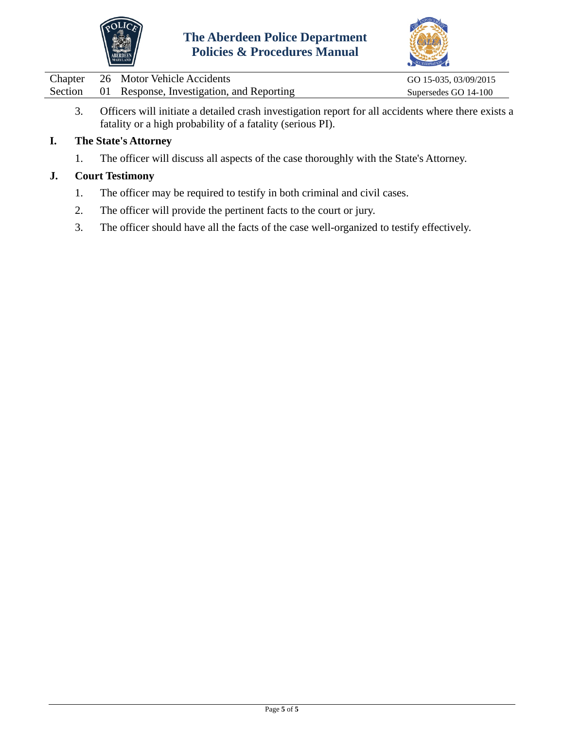



| Chapter | 26 Motor Vehicle Accidents                        | GO 15-035, 03/09/2015 |
|---------|---------------------------------------------------|-----------------------|
|         | Section 01 Response, Investigation, and Reporting | Supersedes GO 14-100  |

3. Officers will initiate a detailed crash investigation report for all accidents where there exists a fatality or a high probability of a fatality (serious PI).

# **I. The State's Attorney**

1. The officer will discuss all aspects of the case thoroughly with the State's Attorney.

# **J. Court Testimony**

- 1. The officer may be required to testify in both criminal and civil cases.
- 2. The officer will provide the pertinent facts to the court or jury.
- 3. The officer should have all the facts of the case well-organized to testify effectively.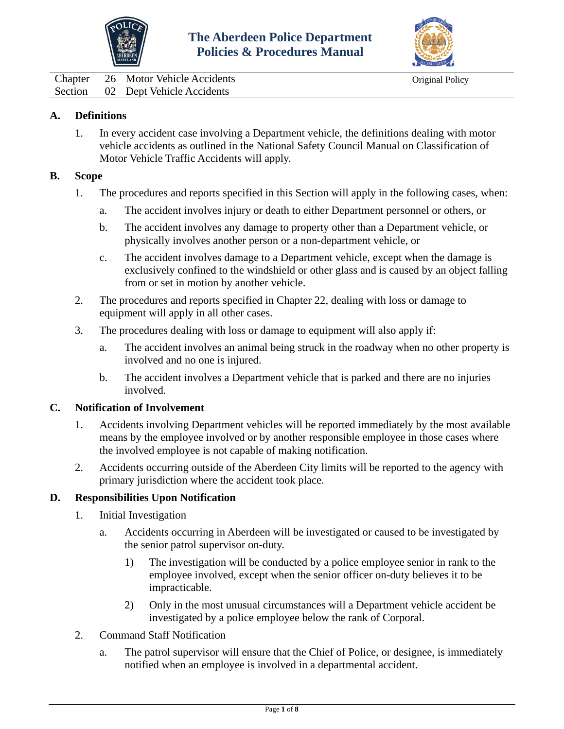



<span id="page-6-0"></span>Chapter 26 Motor Vehicle Accidents Original Policy Section 02 Dept Vehicle Accidents

#### **A. Definitions**

1. In every accident case involving a Department vehicle, the definitions dealing with motor vehicle accidents as outlined in the National Safety Council Manual on Classification of Motor Vehicle Traffic Accidents will apply.

#### **B. Scope**

- 1. The procedures and reports specified in this Section will apply in the following cases, when:
	- a. The accident involves injury or death to either Department personnel or others, or
	- b. The accident involves any damage to property other than a Department vehicle, or physically involves another person or a non-department vehicle, or
	- c. The accident involves damage to a Department vehicle, except when the damage is exclusively confined to the windshield or other glass and is caused by an object falling from or set in motion by another vehicle.
- 2. The procedures and reports specified in Chapter 22, dealing with loss or damage to equipment will apply in all other cases.
- 3. The procedures dealing with loss or damage to equipment will also apply if:
	- a. The accident involves an animal being struck in the roadway when no other property is involved and no one is injured.
	- b. The accident involves a Department vehicle that is parked and there are no injuries involved.

#### **C. Notification of Involvement**

- 1. Accidents involving Department vehicles will be reported immediately by the most available means by the employee involved or by another responsible employee in those cases where the involved employee is not capable of making notification.
- 2. Accidents occurring outside of the Aberdeen City limits will be reported to the agency with primary jurisdiction where the accident took place.

#### **D. Responsibilities Upon Notification**

- 1. Initial Investigation
	- a. Accidents occurring in Aberdeen will be investigated or caused to be investigated by the senior patrol supervisor on-duty.
		- 1) The investigation will be conducted by a police employee senior in rank to the employee involved, except when the senior officer on-duty believes it to be impracticable.
		- 2) Only in the most unusual circumstances will a Department vehicle accident be investigated by a police employee below the rank of Corporal.
- 2. Command Staff Notification
	- a. The patrol supervisor will ensure that the Chief of Police, or designee, is immediately notified when an employee is involved in a departmental accident.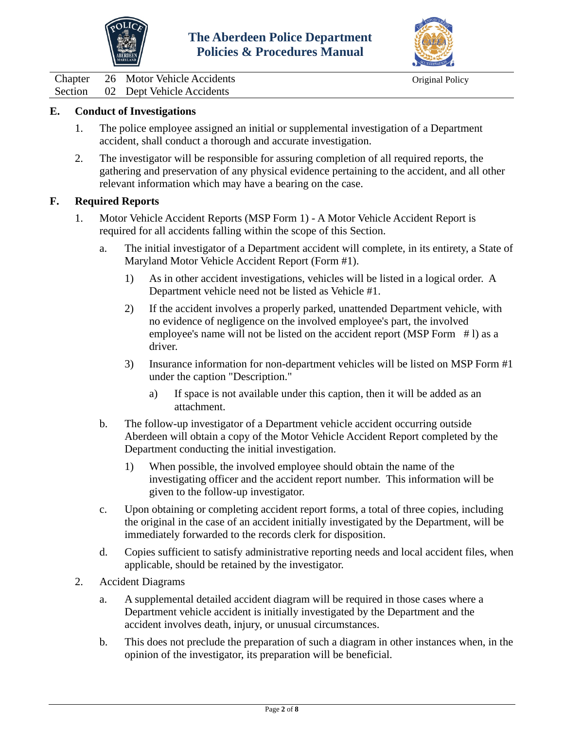



Chapter 26 Motor Vehicle Accidents Original Policy<br>Section 02 Dept Vehicle Accidents 02 Dept Vehicle Accidents

#### **E. Conduct of Investigations**

- 1. The police employee assigned an initial or supplemental investigation of a Department accident, shall conduct a thorough and accurate investigation.
- 2. The investigator will be responsible for assuring completion of all required reports, the gathering and preservation of any physical evidence pertaining to the accident, and all other relevant information which may have a bearing on the case.

#### **F. Required Reports**

- 1. Motor Vehicle Accident Reports (MSP Form 1) A Motor Vehicle Accident Report is required for all accidents falling within the scope of this Section.
	- a. The initial investigator of a Department accident will complete, in its entirety, a State of Maryland Motor Vehicle Accident Report (Form #1).
		- 1) As in other accident investigations, vehicles will be listed in a logical order. A Department vehicle need not be listed as Vehicle #1.
		- 2) If the accident involves a properly parked, unattended Department vehicle, with no evidence of negligence on the involved employee's part, the involved employee's name will not be listed on the accident report (MSP Form #1) as a driver.
		- 3) Insurance information for non-department vehicles will be listed on MSP Form #1 under the caption "Description."
			- a) If space is not available under this caption, then it will be added as an attachment.
	- b. The follow-up investigator of a Department vehicle accident occurring outside Aberdeen will obtain a copy of the Motor Vehicle Accident Report completed by the Department conducting the initial investigation.
		- 1) When possible, the involved employee should obtain the name of the investigating officer and the accident report number. This information will be given to the follow-up investigator.
	- c. Upon obtaining or completing accident report forms, a total of three copies, including the original in the case of an accident initially investigated by the Department, will be immediately forwarded to the records clerk for disposition.
	- d. Copies sufficient to satisfy administrative reporting needs and local accident files, when applicable, should be retained by the investigator.
- 2. Accident Diagrams
	- a. A supplemental detailed accident diagram will be required in those cases where a Department vehicle accident is initially investigated by the Department and the accident involves death, injury, or unusual circumstances.
	- b. This does not preclude the preparation of such a diagram in other instances when, in the opinion of the investigator, its preparation will be beneficial.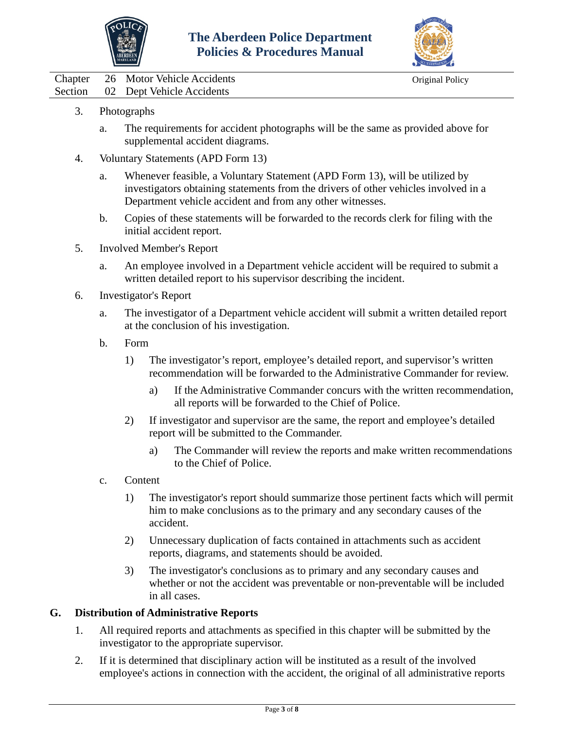



Chapter 26 Motor Vehicle Accidents Chapter Original Policy Section 02 Dept Vehicle Accidents

- 3. Photographs
	- a. The requirements for accident photographs will be the same as provided above for supplemental accident diagrams.
- 4. Voluntary Statements (APD Form 13)
	- a. Whenever feasible, a Voluntary Statement (APD Form 13), will be utilized by investigators obtaining statements from the drivers of other vehicles involved in a Department vehicle accident and from any other witnesses.
	- b. Copies of these statements will be forwarded to the records clerk for filing with the initial accident report.
- 5. Involved Member's Report
	- a. An employee involved in a Department vehicle accident will be required to submit a written detailed report to his supervisor describing the incident.
- 6. Investigator's Report
	- a. The investigator of a Department vehicle accident will submit a written detailed report at the conclusion of his investigation.
	- b. Form
		- 1) The investigator's report, employee's detailed report, and supervisor's written recommendation will be forwarded to the Administrative Commander for review.
			- a) If the Administrative Commander concurs with the written recommendation, all reports will be forwarded to the Chief of Police.
		- 2) If investigator and supervisor are the same, the report and employee's detailed report will be submitted to the Commander.
			- a) The Commander will review the reports and make written recommendations to the Chief of Police.
	- c. Content
		- 1) The investigator's report should summarize those pertinent facts which will permit him to make conclusions as to the primary and any secondary causes of the accident.
		- 2) Unnecessary duplication of facts contained in attachments such as accident reports, diagrams, and statements should be avoided.
		- 3) The investigator's conclusions as to primary and any secondary causes and whether or not the accident was preventable or non-preventable will be included in all cases.

#### **G. Distribution of Administrative Reports**

- 1. All required reports and attachments as specified in this chapter will be submitted by the investigator to the appropriate supervisor.
- 2. If it is determined that disciplinary action will be instituted as a result of the involved employee's actions in connection with the accident, the original of all administrative reports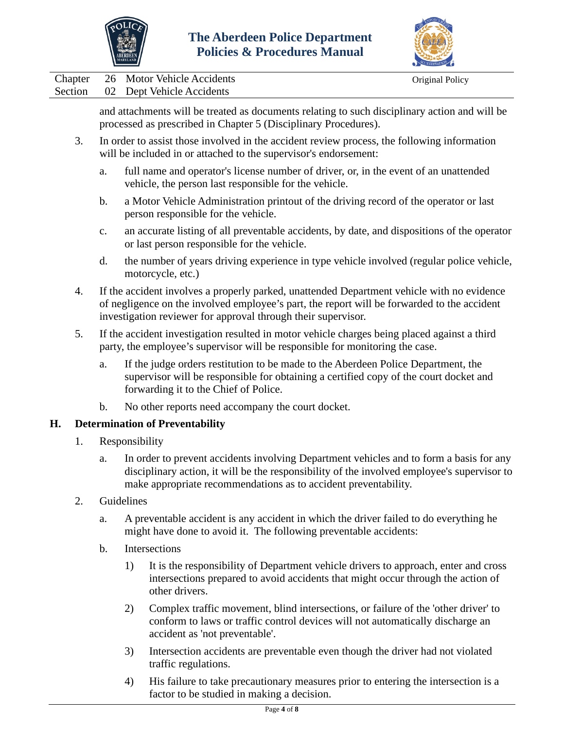



Chapter 26 Motor Vehicle Accidents Chapter Original Policy Section 02 Dept Vehicle Accidents

and attachments will be treated as documents relating to such disciplinary action and will be processed as prescribed in Chapter 5 (Disciplinary Procedures).

- 3. In order to assist those involved in the accident review process, the following information will be included in or attached to the supervisor's endorsement:
	- a. full name and operator's license number of driver, or, in the event of an unattended vehicle, the person last responsible for the vehicle.
	- b. a Motor Vehicle Administration printout of the driving record of the operator or last person responsible for the vehicle.
	- c. an accurate listing of all preventable accidents, by date, and dispositions of the operator or last person responsible for the vehicle.
	- d. the number of years driving experience in type vehicle involved (regular police vehicle, motorcycle, etc.)
- 4. If the accident involves a properly parked, unattended Department vehicle with no evidence of negligence on the involved employee's part, the report will be forwarded to the accident investigation reviewer for approval through their supervisor.
- 5. If the accident investigation resulted in motor vehicle charges being placed against a third party, the employee's supervisor will be responsible for monitoring the case.
	- a. If the judge orders restitution to be made to the Aberdeen Police Department, the supervisor will be responsible for obtaining a certified copy of the court docket and forwarding it to the Chief of Police.
	- b. No other reports need accompany the court docket.

# **H. Determination of Preventability**

- 1. Responsibility
	- a. In order to prevent accidents involving Department vehicles and to form a basis for any disciplinary action, it will be the responsibility of the involved employee's supervisor to make appropriate recommendations as to accident preventability.
- 2. Guidelines
	- a. A preventable accident is any accident in which the driver failed to do everything he might have done to avoid it. The following preventable accidents:
	- b. Intersections
		- 1) It is the responsibility of Department vehicle drivers to approach, enter and cross intersections prepared to avoid accidents that might occur through the action of other drivers.
		- 2) Complex traffic movement, blind intersections, or failure of the 'other driver' to conform to laws or traffic control devices will not automatically discharge an accident as 'not preventable'.
		- 3) Intersection accidents are preventable even though the driver had not violated traffic regulations.
		- 4) His failure to take precautionary measures prior to entering the intersection is a factor to be studied in making a decision.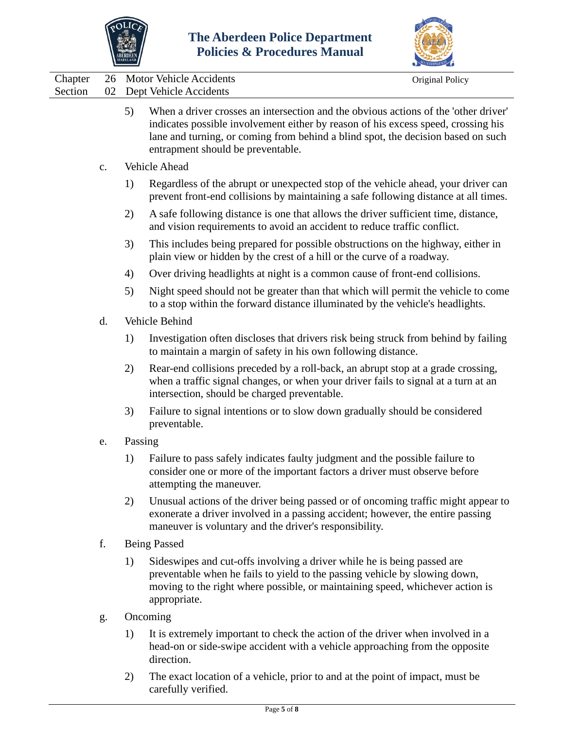



| Chapter<br>Section | 26<br>02 |                     | Motor Vehicle Accidents<br>Dept Vehicle Accidents                                                                                                                                                                                                                                                 | Original Policy |  |  |
|--------------------|----------|---------------------|---------------------------------------------------------------------------------------------------------------------------------------------------------------------------------------------------------------------------------------------------------------------------------------------------|-----------------|--|--|
|                    |          | 5)                  | When a driver crosses an intersection and the obvious actions of the 'other driver'<br>indicates possible involvement either by reason of his excess speed, crossing his<br>lane and turning, or coming from behind a blind spot, the decision based on such<br>entrapment should be preventable. |                 |  |  |
|                    | c.       |                     | Vehicle Ahead                                                                                                                                                                                                                                                                                     |                 |  |  |
|                    |          | 1)                  | Regardless of the abrupt or unexpected stop of the vehicle ahead, your driver can<br>prevent front-end collisions by maintaining a safe following distance at all times.                                                                                                                          |                 |  |  |
|                    |          | 2)                  | A safe following distance is one that allows the driver sufficient time, distance,<br>and vision requirements to avoid an accident to reduce traffic conflict.                                                                                                                                    |                 |  |  |
|                    |          | 3)                  | This includes being prepared for possible obstructions on the highway, either in<br>plain view or hidden by the crest of a hill or the curve of a roadway.                                                                                                                                        |                 |  |  |
|                    |          | 4)                  | Over driving headlights at night is a common cause of front-end collisions.                                                                                                                                                                                                                       |                 |  |  |
|                    |          | 5)                  | Night speed should not be greater than that which will permit the vehicle to come<br>to a stop within the forward distance illuminated by the vehicle's headlights.                                                                                                                               |                 |  |  |
|                    | d.       | Vehicle Behind      |                                                                                                                                                                                                                                                                                                   |                 |  |  |
|                    |          | 1)                  | Investigation often discloses that drivers risk being struck from behind by failing<br>to maintain a margin of safety in his own following distance.                                                                                                                                              |                 |  |  |
|                    |          | 2)                  | Rear-end collisions preceded by a roll-back, an abrupt stop at a grade crossing,<br>when a traffic signal changes, or when your driver fails to signal at a turn at an<br>intersection, should be charged preventable.                                                                            |                 |  |  |
|                    |          | 3)                  | Failure to signal intentions or to slow down gradually should be considered<br>preventable.                                                                                                                                                                                                       |                 |  |  |
|                    | e.       | Passing             |                                                                                                                                                                                                                                                                                                   |                 |  |  |
|                    |          | 1)                  | Failure to pass safely indicates faulty judgment and the possible failure to<br>consider one or more of the important factors a driver must observe before<br>attempting the maneuver.                                                                                                            |                 |  |  |
|                    |          | 2)                  | Unusual actions of the driver being passed or of oncoming traffic might appear to<br>exonerate a driver involved in a passing accident; however, the entire passing<br>maneuver is voluntary and the driver's responsibility.                                                                     |                 |  |  |
|                    | f.       | <b>Being Passed</b> |                                                                                                                                                                                                                                                                                                   |                 |  |  |
|                    |          | 1)                  | Sideswipes and cut-offs involving a driver while he is being passed are<br>preventable when he fails to yield to the passing vehicle by slowing down,<br>moving to the right where possible, or maintaining speed, whichever action is<br>appropriate.                                            |                 |  |  |
|                    | g.       |                     | Oncoming                                                                                                                                                                                                                                                                                          |                 |  |  |
|                    |          | 1)                  | It is extremely important to check the action of the driver when involved in a<br>head-on or side-swipe accident with a vehicle approaching from the opposite<br>direction.                                                                                                                       |                 |  |  |

2) The exact location of a vehicle, prior to and at the point of impact, must be carefully verified.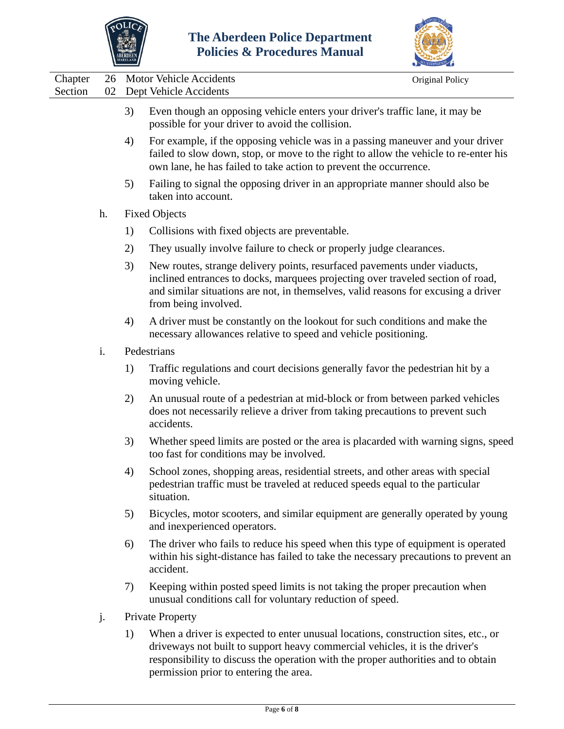



|                    | $\overline{\phantom{a}}$ |    |                                                                                                                                                                                                                                                                            | CCREDITATION    |
|--------------------|--------------------------|----|----------------------------------------------------------------------------------------------------------------------------------------------------------------------------------------------------------------------------------------------------------------------------|-----------------|
| Chapter<br>Section | 26<br>02                 |    | <b>Motor Vehicle Accidents</b><br>Dept Vehicle Accidents                                                                                                                                                                                                                   | Original Policy |
|                    |                          | 3) | Even though an opposing vehicle enters your driver's traffic lane, it may be<br>possible for your driver to avoid the collision.                                                                                                                                           |                 |
|                    |                          | 4) | For example, if the opposing vehicle was in a passing maneuver and your driver<br>failed to slow down, stop, or move to the right to allow the vehicle to re-enter his<br>own lane, he has failed to take action to prevent the occurrence.                                |                 |
|                    |                          | 5) | Failing to signal the opposing driver in an appropriate manner should also be<br>taken into account.                                                                                                                                                                       |                 |
|                    | h.                       |    | <b>Fixed Objects</b>                                                                                                                                                                                                                                                       |                 |
|                    |                          | 1) | Collisions with fixed objects are preventable.                                                                                                                                                                                                                             |                 |
|                    |                          | 2) | They usually involve failure to check or properly judge clearances.                                                                                                                                                                                                        |                 |
|                    |                          | 3) | New routes, strange delivery points, resurfaced pavements under viaducts,<br>inclined entrances to docks, marquees projecting over traveled section of road,<br>and similar situations are not, in themselves, valid reasons for excusing a driver<br>from being involved. |                 |
|                    |                          | 4) | A driver must be constantly on the lookout for such conditions and make the<br>necessary allowances relative to speed and vehicle positioning.                                                                                                                             |                 |
|                    | i.                       |    | Pedestrians                                                                                                                                                                                                                                                                |                 |
|                    |                          | 1) | Traffic regulations and court decisions generally favor the pedestrian hit by a<br>moving vehicle.                                                                                                                                                                         |                 |
|                    |                          | 2) | An unusual route of a pedestrian at mid-block or from between parked vehicles<br>does not necessarily relieve a driver from taking precautions to prevent such<br>accidents.                                                                                               |                 |
|                    |                          | 3) | Whether speed limits are posted or the area is placarded with warning signs, speed<br>too fast for conditions may be involved.                                                                                                                                             |                 |
|                    |                          | 4) | School zones, shopping areas, residential streets, and other areas with special<br>pedestrian traffic must be traveled at reduced speeds equal to the particular<br>situation.                                                                                             |                 |
|                    |                          | 5) | Bicycles, motor scooters, and similar equipment are generally operated by young<br>and inexperienced operators.                                                                                                                                                            |                 |
|                    |                          | 6) | The driver who fails to reduce his speed when this type of equipment is operated<br>within his sight-distance has failed to take the necessary precautions to prevent an<br>accident.                                                                                      |                 |
|                    |                          | 7) | Keeping within posted speed limits is not taking the proper precaution when<br>unusual conditions call for voluntary reduction of speed.                                                                                                                                   |                 |
|                    | j.                       |    | Private Property                                                                                                                                                                                                                                                           |                 |
|                    |                          | 1) | When a driver is expected to enter unusual locations, construction sites, etc., or<br>driveways not built to support heavy commercial vehicles, it is the driver's<br>responsibility to discuss the operation with the proper authorities and to obtain                    |                 |

permission prior to entering the area.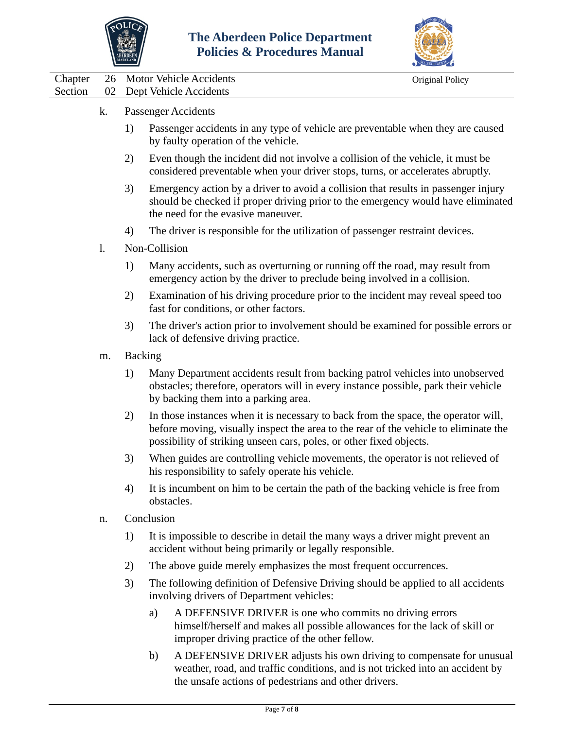



|         |                | <b>MARYLAND</b> |                                                                                                                                                                                                                                                   | ACCREDITATION   |  |
|---------|----------------|-----------------|---------------------------------------------------------------------------------------------------------------------------------------------------------------------------------------------------------------------------------------------------|-----------------|--|
| Chapter | 26             |                 | <b>Motor Vehicle Accidents</b>                                                                                                                                                                                                                    | Original Policy |  |
| Section | 02             |                 | Dept Vehicle Accidents                                                                                                                                                                                                                            |                 |  |
|         | k.             |                 | Passenger Accidents                                                                                                                                                                                                                               |                 |  |
|         |                | 1)              | Passenger accidents in any type of vehicle are preventable when they are caused<br>by faulty operation of the vehicle.                                                                                                                            |                 |  |
|         |                | 2)              | Even though the incident did not involve a collision of the vehicle, it must be<br>considered preventable when your driver stops, turns, or accelerates abruptly.                                                                                 |                 |  |
|         |                | 3)              | Emergency action by a driver to avoid a collision that results in passenger injury<br>should be checked if proper driving prior to the emergency would have eliminated<br>the need for the evasive maneuver.                                      |                 |  |
|         |                | 4)              | The driver is responsible for the utilization of passenger restraint devices.                                                                                                                                                                     |                 |  |
|         | $\mathbf{l}$ . |                 | Non-Collision                                                                                                                                                                                                                                     |                 |  |
|         |                | 1)              | Many accidents, such as overturning or running off the road, may result from<br>emergency action by the driver to preclude being involved in a collision.                                                                                         |                 |  |
|         |                | 2)              | Examination of his driving procedure prior to the incident may reveal speed too<br>fast for conditions, or other factors.                                                                                                                         |                 |  |
|         |                | 3)              | The driver's action prior to involvement should be examined for possible errors or<br>lack of defensive driving practice.                                                                                                                         |                 |  |
|         | m.             |                 | <b>Backing</b>                                                                                                                                                                                                                                    |                 |  |
|         |                | 1)              | Many Department accidents result from backing patrol vehicles into unobserved<br>obstacles; therefore, operators will in every instance possible, park their vehicle<br>by backing them into a parking area.                                      |                 |  |
|         |                | 2)              | In those instances when it is necessary to back from the space, the operator will,<br>before moving, visually inspect the area to the rear of the vehicle to eliminate the<br>possibility of striking unseen cars, poles, or other fixed objects. |                 |  |
|         |                | 3)              | When guides are controlling vehicle movements, the operator is not relieved of<br>his responsibility to safely operate his vehicle.                                                                                                               |                 |  |
|         |                | 4)              | It is incumbent on him to be certain the path of the backing vehicle is free from<br>obstacles.                                                                                                                                                   |                 |  |
|         | n.             |                 | Conclusion                                                                                                                                                                                                                                        |                 |  |
|         |                | 1)              | It is impossible to describe in detail the many ways a driver might prevent an<br>accident without being primarily or legally responsible.                                                                                                        |                 |  |
|         |                | 2)              | The above guide merely emphasizes the most frequent occurrences.                                                                                                                                                                                  |                 |  |
|         |                | 3)              | The following definition of Defensive Driving should be applied to all accidents<br>involving drivers of Department vehicles:                                                                                                                     |                 |  |
|         |                |                 | A DEFENSIVE DRIVER is one who commits no driving errors<br>a)<br>himself/herself and makes all possible allowances for the lack of skill or<br>improper driving practice of the other fellow.                                                     |                 |  |

b) A DEFENSIVE DRIVER adjusts his own driving to compensate for unusual weather, road, and traffic conditions, and is not tricked into an accident by the unsafe actions of pedestrians and other drivers.